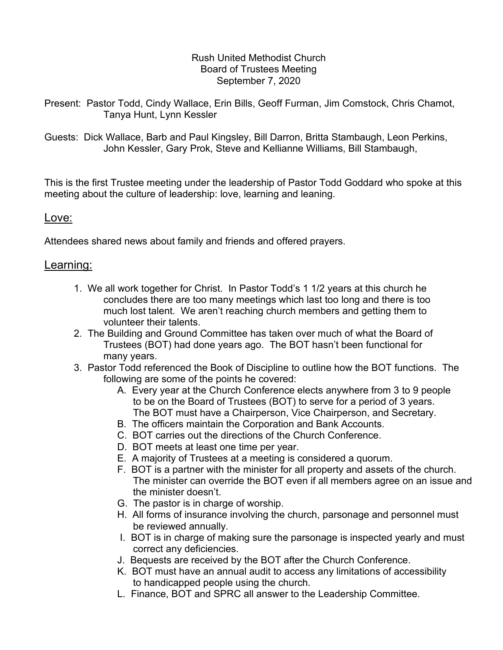## Rush United Methodist Church Board of Trustees Meeting September 7, 2020

- Present: Pastor Todd, Cindy Wallace, Erin Bills, Geoff Furman, Jim Comstock, Chris Chamot, Tanya Hunt, Lynn Kessler
- Guests: Dick Wallace, Barb and Paul Kingsley, Bill Darron, Britta Stambaugh, Leon Perkins, John Kessler, Gary Prok, Steve and Kellianne Williams, Bill Stambaugh,

 This is the first Trustee meeting under the leadership of Pastor Todd Goddard who spoke at this meeting about the culture of leadership: love, learning and leaning.

## Love:

Attendees shared news about family and friends and offered prayers.

## Learning:

- 1. We all work together for Christ. In Pastor Todd's 1 1/2 years at this church he concludes there are too many meetings which last too long and there is too much lost talent. We aren't reaching church members and getting them to volunteer their talents.
- 2. The Building and Ground Committee has taken over much of what the Board of Trustees (BOT) had done years ago. The BOT hasn't been functional for many years.
- 3. Pastor Todd referenced the Book of Discipline to outline how the BOT functions. The following are some of the points he covered:
	- A. Every year at the Church Conference elects anywhere from 3 to 9 people to be on the Board of Trustees (BOT) to serve for a period of 3 years. The BOT must have a Chairperson, Vice Chairperson, and Secretary.
	- B. The officers maintain the Corporation and Bank Accounts.
	- C. BOT carries out the directions of the Church Conference.
	- D. BOT meets at least one time per year.
	- E. A majority of Trustees at a meeting is considered a quorum.
	- F. BOT is a partner with the minister for all property and assets of the church. The minister can override the BOT even if all members agree on an issue and the minister doesn't.
	- G. The pastor is in charge of worship.
	- H. All forms of insurance involving the church, parsonage and personnel must be reviewed annually.
	- I. BOT is in charge of making sure the parsonage is inspected yearly and must correct any deficiencies.
	- J. Bequests are received by the BOT after the Church Conference.
	- K. BOT must have an annual audit to access any limitations of accessibility to handicapped people using the church.
	- L. Finance, BOT and SPRC all answer to the Leadership Committee.